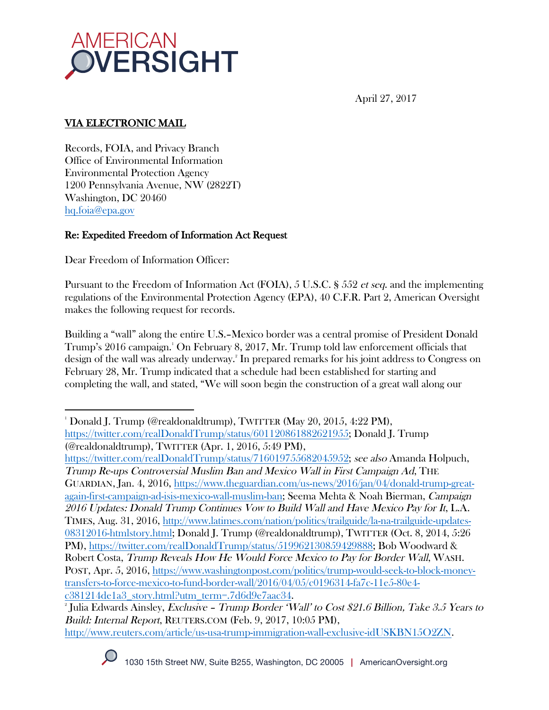

April 27, 2017

# VIA ELECTRONIC MAIL

Records, FOIA, and Privacy Branch Office of Environmental Information Environmental Protection Agency 1200 Pennsylvania Avenue, NW (2822T) Washington, DC 20460 hq.foia@epa.gov

### Re: Expedited Freedom of Information Act Request

Dear Freedom of Information Officer:

 

Pursuant to the Freedom of Information Act (FOIA), 5 U.S.C. § 552 et seq. and the implementing regulations of the Environmental Protection Agency (EPA), 40 C.F.R. Part 2, American Oversight makes the following request for records.

Building a "wall" along the entire U.S.–Mexico border was a central promise of President Donald Trump's 2016 campaign.1 On February 8, 2017, Mr. Trump told law enforcement officials that design of the wall was already underway. 2 In prepared remarks for his joint address to Congress on February 28, Mr. Trump indicated that a schedule had been established for starting and completing the wall, and stated, "We will soon begin the construction of a great wall along our

https://twitter.com/realDonaldTrump/status/716019755682045952; see also Amanda Holpuch, Trump Re-ups Controversial Muslim Ban and Mexico Wall in First Campaign Ad, THE GUARDIAN, Jan. 4, 2016, https://www.theguardian.com/us-news/2016/jan/04/donald-trump-greatagain-first-campaign-ad-isis-mexico-wall-muslim-ban; Seema Mehta & Noah Bierman, Campaign 2016 Updates: Donald Trump Continues Vow to Build Wall and Have Mexico Pay for It, L.A. TIMES, Aug. 31, 2016, http://www.latimes.com/nation/politics/trailguide/la-na-trailguide-updates-08312016-htmlstory.html; Donald J. Trump (@realdonaldtrump), TWITTER (Oct. 8, 2014, 5:26 PM), https://twitter.com/realDonaldTrump/status/519962130859429888; Bob Woodward & Robert Costa, Trump Reveals How He Would Force Mexico to Pay for Border Wall, WASH. POST, Apr. 5, 2016, https://www.washingtonpost.com/politics/trump-would-seek-to-block-moneytransfers-to-force-mexico-to-fund-border-wall/2016/04/05/c0196314-fa7c-11e5-80e4 c381214de1a3\_story.html?utm\_term=.7d6d9e7aac34. 2

<sup>&</sup>lt;sup>2</sup> Julia Edwards Ainsley, *Exclusive – Trump Border 'Wall' to Cost \$21.6 Billion, Take 3.5 Years to* Build: Internal Report, REUTERS.COM (Feb. 9, 2017, 10:05 PM), http://www.reuters.com/article/us-usa-trump-immigration-wall-exclusive-idUSKBN15O2ZN.



<sup>1</sup> Donald J. Trump (@realdonaldtrump), TWITTER (May 20, 2015, 4:22 PM), https://twitter.com/realDonaldTrump/status/601120861882621955; Donald J. Trump (@realdonaldtrump), TWITTER (Apr. 1, 2016, 5:49 PM),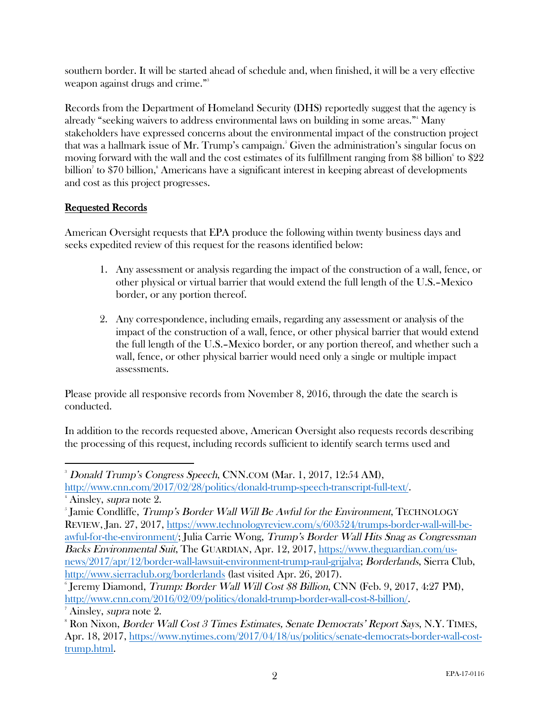southern border. It will be started ahead of schedule and, when finished, it will be a very effective weapon against drugs and crime."<sup>3</sup>

Records from the Department of Homeland Security (DHS) reportedly suggest that the agency is already "seeking waivers to address environmental laws on building in some areas."4 Many stakeholders have expressed concerns about the environmental impact of the construction project that was a hallmark issue of Mr. Trump's campaign. 5 Given the administration's singular focus on moving forward with the wall and the cost estimates of its fulfillment ranging from  $\$8$  billion $^{\circ}$  to  $\$22$ billion<sup>7</sup> to \$70 billion,<sup>8</sup> Americans have a significant interest in keeping abreast of developments and cost as this project progresses.

## Requested Records

American Oversight requests that EPA produce the following within twenty business days and seeks expedited review of this request for the reasons identified below:

- 1. Any assessment or analysis regarding the impact of the construction of a wall, fence, or other physical or virtual barrier that would extend the full length of the U.S.–Mexico border, or any portion thereof.
- 2. Any correspondence, including emails, regarding any assessment or analysis of the impact of the construction of a wall, fence, or other physical barrier that would extend the full length of the U.S.–Mexico border, or any portion thereof, and whether such a wall, fence, or other physical barrier would need only a single or multiple impact assessments.

Please provide all responsive records from November 8, 2016, through the date the search is conducted.

In addition to the records requested above, American Oversight also requests records describing the processing of this request, including records sufficient to identify search terms used and

 3 Donald Trump's Congress Speech, CNN.COM (Mar. 1, 2017, 12:54 AM),

http://www.cnn.com/2017/02/28/politics/donald-trump-speech-transcript-full-text/. 4 <sup>4</sup> Ainsley, *supra* note 2.

<sup>&</sup>lt;sup>5</sup> Jamie Condliffe, *Trump's Border Wall Will Be Awful for the Environment*, TECHNOLOGY REVIEW, Jan. 27, 2017, https://www.technologyreview.com/s/603524/trumps-border-wall-will-beawful-for-the-environment/; Julia Carrie Wong, Trump's Border Wall Hits Snag as Congressman Backs Environmental Suit, The GUARDIAN, Apr. 12, 2017, https://www.theguardian.com/usnews/2017/apr/12/border-wall-lawsuit-environment-trump-raul-grijalva; Borderlands, Sierra Club, http://www.sierraclub.org/borderlands (last visited Apr. 26, 2017).

<sup>6</sup> Jeremy Diamond, Trump: Border Wall Will Cost \$8 Billion, CNN (Feb. 9, 2017, 4:27 PM), http://www.cnn.com/2016/02/09/politics/donald-trump-border-wall-cost-8-billion/. 7

<sup>&</sup>lt;sup>7</sup> Ainsley, *supra* note 2.

 $\rm^8$  Ron Nixon, *Border Wall Cost 3 Times Estimates, Senate Democrats' Report Says*, N.Y. TIMES, Apr. 18, 2017, https://www.nytimes.com/2017/04/18/us/politics/senate-democrats-border-wall-costtrump.html.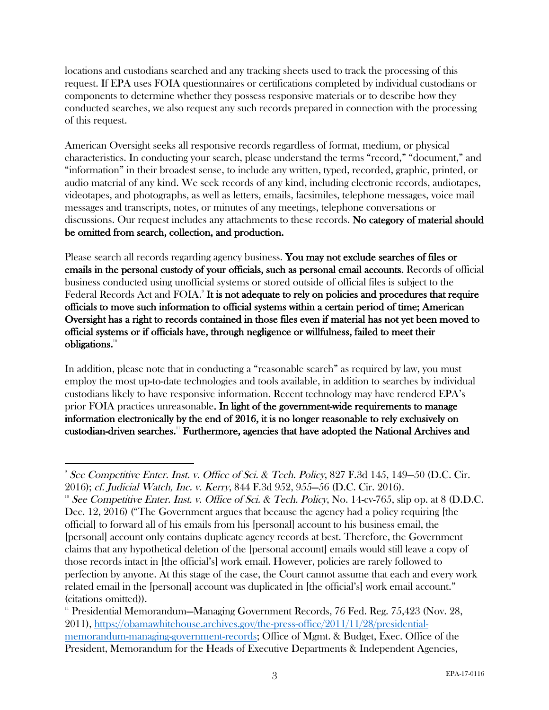locations and custodians searched and any tracking sheets used to track the processing of this request. If EPA uses FOIA questionnaires or certifications completed by individual custodians or components to determine whether they possess responsive materials or to describe how they conducted searches, we also request any such records prepared in connection with the processing of this request.

American Oversight seeks all responsive records regardless of format, medium, or physical characteristics. In conducting your search, please understand the terms "record," "document," and "information" in their broadest sense, to include any written, typed, recorded, graphic, printed, or audio material of any kind. We seek records of any kind, including electronic records, audiotapes, videotapes, and photographs, as well as letters, emails, facsimiles, telephone messages, voice mail messages and transcripts, notes, or minutes of any meetings, telephone conversations or discussions. Our request includes any attachments to these records. No category of material should be omitted from search, collection, and production.

Please search all records regarding agency business. You may not exclude searches of files or emails in the personal custody of your officials, such as personal email accounts. Records of official business conducted using unofficial systems or stored outside of official files is subject to the Federal Records Act and FOIA.<sup>9</sup> It is not adequate to rely on policies and procedures that require officials to move such information to official systems within a certain period of time; American Oversight has a right to records contained in those files even if material has not yet been moved to official systems or if officials have, through negligence or willfulness, failed to meet their obligations.10

In addition, please note that in conducting a "reasonable search" as required by law, you must employ the most up-to-date technologies and tools available, in addition to searches by individual custodians likely to have responsive information. Recent technology may have rendered EPA's prior FOIA practices unreasonable. In light of the government-wide requirements to manage information electronically by the end of 2016, it is no longer reasonable to rely exclusively on custodian-driven searches.11 Furthermore, agencies that have adopted the National Archives and

 

<sup>9</sup> See Competitive Enter. Inst. v. Office of Sci. & Tech. Policy, 827 F.3d 145, 149—50 (D.C. Cir. 2016); cf. Judicial Watch, Inc. v. Kerry, 844 F.3d 952, 955—56 (D.C. Cir. 2016).<br><sup>10</sup> See Competitive Enter. Inst. v. Office of Sci. & Tech. Policy, No. 14-cv-765, slip op. at 8 (D.D.C.

Dec. 12, 2016) ("The Government argues that because the agency had a policy requiring [the official] to forward all of his emails from his [personal] account to his business email, the [personal] account only contains duplicate agency records at best. Therefore, the Government claims that any hypothetical deletion of the [personal account] emails would still leave a copy of those records intact in [the official's] work email. However, policies are rarely followed to perfection by anyone. At this stage of the case, the Court cannot assume that each and every work related email in the [personal] account was duplicated in [the official's] work email account." (citations omitted)).

<sup>&</sup>lt;sup>11</sup> Presidential Memorandum—Managing Government Records, 76 Fed. Reg. 75,423 (Nov. 28, 2011), https://obamawhitehouse.archives.gov/the-press-office/2011/11/28/presidentialmemorandum-managing-government-records; Office of Mgmt. & Budget, Exec. Office of the President, Memorandum for the Heads of Executive Departments & Independent Agencies,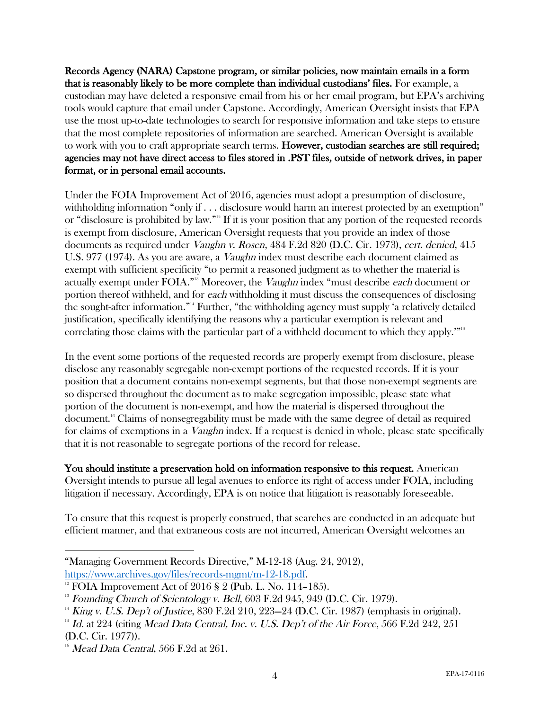Records Agency (NARA) Capstone program, or similar policies, now maintain emails in a form that is reasonably likely to be more complete than individual custodians' files. For example, a custodian may have deleted a responsive email from his or her email program, but EPA's archiving tools would capture that email under Capstone. Accordingly, American Oversight insists that EPA use the most up-to-date technologies to search for responsive information and take steps to ensure that the most complete repositories of information are searched. American Oversight is available to work with you to craft appropriate search terms. However, custodian searches are still required; agencies may not have direct access to files stored in .PST files, outside of network drives, in paper format, or in personal email accounts.

Under the FOIA Improvement Act of 2016, agencies must adopt a presumption of disclosure, withholding information "only if . . . disclosure would harm an interest protected by an exemption" or "disclosure is prohibited by law."12 If it is your position that any portion of the requested records is exempt from disclosure, American Oversight requests that you provide an index of those documents as required under Vaughn v. Rosen, 484 F.2d 820 (D.C. Cir. 1973), cert. denied, 415 U.S. 977 (1974). As you are aware, a Vaughn index must describe each document claimed as exempt with sufficient specificity "to permit a reasoned judgment as to whether the material is actually exempt under FOIA."<sup>13</sup> Moreover, the *Vaughn* index "must describe each document or portion thereof withheld, and for each withholding it must discuss the consequences of disclosing the sought-after information."14 Further, "the withholding agency must supply 'a relatively detailed justification, specifically identifying the reasons why a particular exemption is relevant and correlating those claims with the particular part of a withheld document to which they apply.'"15

In the event some portions of the requested records are properly exempt from disclosure, please disclose any reasonably segregable non-exempt portions of the requested records. If it is your position that a document contains non-exempt segments, but that those non-exempt segments are so dispersed throughout the document as to make segregation impossible, please state what portion of the document is non-exempt, and how the material is dispersed throughout the document.16 Claims of nonsegregability must be made with the same degree of detail as required for claims of exemptions in a *Vaughn* index. If a request is denied in whole, please state specifically that it is not reasonable to segregate portions of the record for release.

You should institute a preservation hold on information responsive to this request. American Oversight intends to pursue all legal avenues to enforce its right of access under FOIA, including litigation if necessary. Accordingly, EPA is on notice that litigation is reasonably foreseeable.

To ensure that this request is properly construed, that searches are conducted in an adequate but efficient manner, and that extraneous costs are not incurred, American Oversight welcomes an

 "Managing Government Records Directive," M-12-18 (Aug. 24, 2012), https://www.archives.gov/files/records-mgmt/m-12-18.pdf.<br><sup>12</sup> FOIA Improvement Act of 2016 § 2 (Pub. L. No. 114–185).

 $13$  Founding Church of Scientology v. Bell, 603 F.2d 945, 949 (D.C. Cir. 1979).

 $14$  King v. U.S. Dep't of Justice, 830 F.2d 210, 223–24 (D.C. Cir. 1987) (emphasis in original).

 $15$  Id. at 224 (citing Mead Data Central, Inc. v. U.S. Dep't of the Air Force, 566 F.2d 242, 251 (D.C. Cir. 1977)).

 $16$  Mead Data Central, 566 F.2d at 261.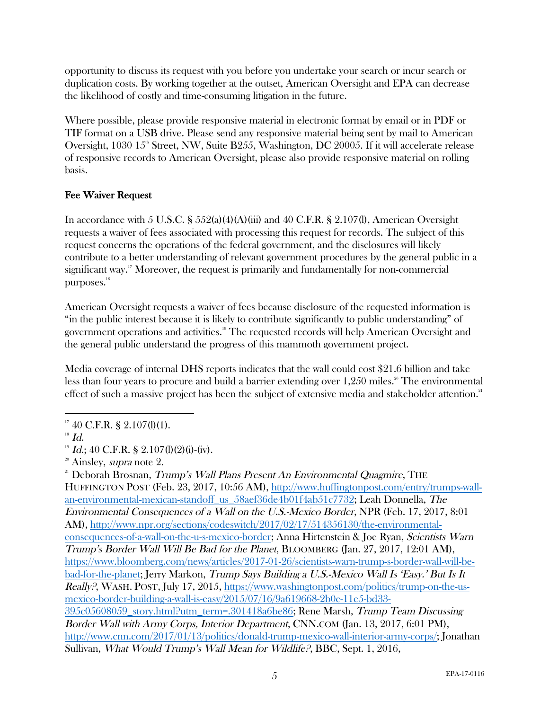opportunity to discuss its request with you before you undertake your search or incur search or duplication costs. By working together at the outset, American Oversight and EPA can decrease the likelihood of costly and time-consuming litigation in the future.

Where possible, please provide responsive material in electronic format by email or in PDF or TIF format on a USB drive. Please send any responsive material being sent by mail to American Oversight, 1030  $15^{\circ}$  Street, NW, Suite B255, Washington, DC 20005. If it will accelerate release of responsive records to American Oversight, please also provide responsive material on rolling basis.

#### Fee Waiver Request

In accordance with 5 U.S.C. §  $552(a)(4)(A)(iii)$  and 40 C.F.R. § 2.107(l), American Oversight requests a waiver of fees associated with processing this request for records. The subject of this request concerns the operations of the federal government, and the disclosures will likely contribute to a better understanding of relevant government procedures by the general public in a significant way.<sup>17</sup> Moreover, the request is primarily and fundamentally for non-commercial purposes.<sup>18</sup>

American Oversight requests a waiver of fees because disclosure of the requested information is "in the public interest because it is likely to contribute significantly to public understanding" of government operations and activities. <sup>19</sup> The requested records will help American Oversight and the general public understand the progress of this mammoth government project.

Media coverage of internal DHS reports indicates that the wall could cost \$21.6 billion and take less than four years to procure and build a barrier extending over  $1,250$  miles.<sup>20</sup> The environmental effect of such a massive project has been the subject of extensive media and stakeholder attention.<sup>21</sup>

<sup>21</sup> Deborah Brosnan, *Trump's Wall Plans Present An Environmental Quagmire*, THE HUFFINGTON POST (Feb. 23, 2017, 10:56 AM), http://www.huffingtonpost.com/entry/trumps-wallan-environmental-mexican-standoff\_us\_58aef36de4b01f4ab51c7732; Leah Donnella, The Environmental Consequences of a Wall on the U.S.-Mexico Border, NPR (Feb. 17, 2017, 8:01 AM), http://www.npr.org/sections/codeswitch/2017/02/17/514356130/the-environmentalconsequences-of-a-wall-on-the-u-s-mexico-border; Anna Hirtenstein & Joe Ryan, Scientists Warn Trump's Border Wall Will Be Bad for the Planet, BLOOMBERG (Jan. 27, 2017, 12:01 AM), https://www.bloomberg.com/news/articles/2017-01-26/scientists-warn-trump-s-border-wall-will-bebad-for-the-planet; Jerry Markon, Trump Says Building a U.S.-Mexico Wall Is 'Easy.' But Is It Really?, WASH. POST, July 17, 2015, https://www.washingtonpost.com/politics/trump-on-the-usmexico-border-building-a-wall-is-easy/2015/07/16/9a619668-2b0c-11e5-bd33- 395c05608059\_story.html?utm\_term=.301418a6be86; Rene Marsh, Trump Team Discussing Border Wall with Army Corps, Interior Department, CNN.COM (Jan. 13, 2017, 6:01 PM), http://www.cnn.com/2017/01/13/politics/donald-trump-mexico-wall-interior-army-corps/; Jonathan Sullivan, What Would Trump's Wall Mean for Wildlife?, BBC, Sept. 1, 2016,

  $17$  40 C.F.R. § 2.107(l)(1).

 $18$  Id.

 $19$  Id.; 40 C.F.R. § 2.107(l)(2)(i)-(iv).

 $2^{\circ}$  Ainsley, *supra* note 2.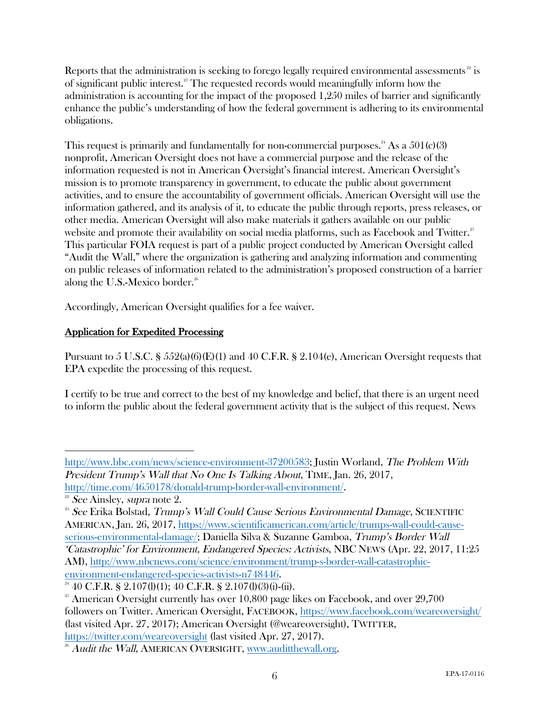Reports that the administration is seeking to forego legally required environmental assessments<sup>22</sup> is of significant public interest.23 The requested records would meaningfully inform how the administration is accounting for the impact of the proposed 1,250 miles of barrier and significantly enhance the public's understanding of how the federal government is adhering to its environmental obligations.

This request is primarily and fundamentally for non-commercial purposes.<sup>24</sup> As a  $501(c)(3)$ nonprofit, American Oversight does not have a commercial purpose and the release of the information requested is not in American Oversight's financial interest. American Oversight's mission is to promote transparency in government, to educate the public about government activities, and to ensure the accountability of government officials. American Oversight will use the information gathered, and its analysis of it, to educate the public through reports, press releases, or other media. American Oversight will also make materials it gathers available on our public website and promote their availability on social media platforms, such as Facebook and Twitter.<sup>25</sup> This particular FOIA request is part of a public project conducted by American Oversight called "Audit the Wall," where the organization is gathering and analyzing information and commenting on public releases of information related to the administration's proposed construction of a barrier along the U.S.-Mexico border. $26$ 

Accordingly, American Oversight qualifies for a fee waiver.

## Application for Expedited Processing

Pursuant to 5 U.S.C. § 552(a)(6)(E)(1) and 40 C.F.R. § 2.104(e), American Oversight requests that EPA expedite the processing of this request.

I certify to be true and correct to the best of my knowledge and belief, that there is an urgent need to inform the public about the federal government activity that is the subject of this request. News

serious-environmental-damage/; Daniella Silva & Suzanne Gamboa, Trump's Border Wall 'Catastrophic' for Environment, Endangered Species: Activists, NBC NEWS (Apr. 22, 2017, 11:25 AM), http://www.nbcnews.com/science/environment/trump-s-border-wall-catastrophic-

environment-endangered-species-activists-n748446.<br><sup>24</sup> 40 C.F.R. § 2.107(l)(1); 40 C.F.R. § 2.107(l)(3)(i)-(ii).

 http://www.bbc.com/news/science-environment-37200583; Justin Worland, The Problem With President Trump's Wall that No One Is Talking About, TIME, Jan. 26, 2017, http://time.com/4650178/donald-trump-border-wall-environment/.<br>
<sup>22</sup> See Ainsley, *supra* note 2.

 $23$  See Erika Bolstad, Trump's Wall Could Cause Serious Environmental Damage, SCIENTIFIC AMERICAN, Jan. 26, 2017, https://www.scientificamerican.com/article/trumps-wall-could-cause-

 $25$  American Oversight currently has over 10,800 page likes on Facebook, and over  $29,700$ followers on Twitter. American Oversight, FACEBOOK, https://www.facebook.com/weareoversight/ (last visited Apr. 27, 2017); American Oversight (@weareoversight), TWITTER, https://twitter.com/weareoversight (last visited Apr. 27, 2017).

<sup>&</sup>lt;sup>26</sup> Audit the Wall, AMERICAN OVERSIGHT, www.auditthewall.org.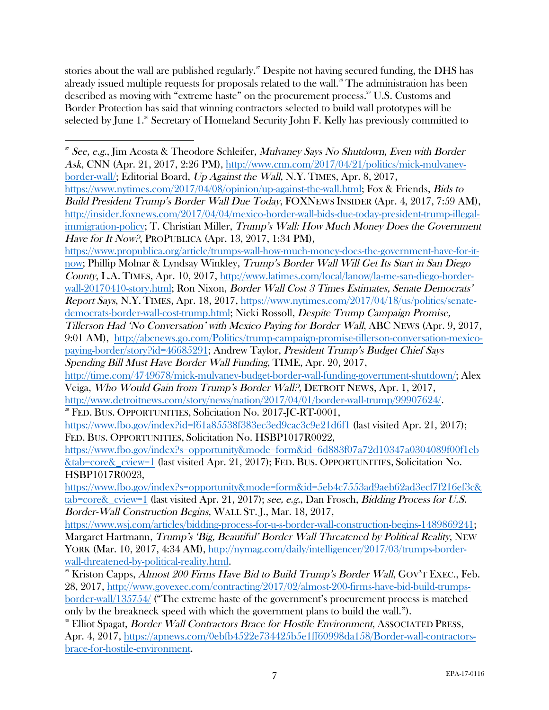stories about the wall are published regularly.<sup>27</sup> Despite not having secured funding, the DHS has already issued multiple requests for proposals related to the wall.<sup>28</sup> The administration has been described as moving with "extreme haste" on the procurement process.<sup>29</sup> U.S. Customs and Border Protection has said that winning contractors selected to build wall prototypes will be selected by June  $1.^{\circ}$  Secretary of Homeland Security John F. Kelly has previously committed to

https://www.propublica.org/article/trumps-wall-how-much-money-does-the-government-have-for-itnow; Phillip Molnar & Lyndsay Winkley, Trump's Border Wall Will Get Its Start in San Diego County, L.A. TIMES, Apr. 10, 2017, http://www.latimes.com/local/lanow/la-me-san-diego-borderwall-20170410-story.html; Ron Nixon, Border Wall Cost 3 Times Estimates, Senate Democrats' Report Says, N.Y. TIMES, Apr. 18, 2017, https://www.nytimes.com/2017/04/18/us/politics/senatedemocrats-border-wall-cost-trump.html; Nicki Rossoll, Despite Trump Campaign Promise, Tillerson Had 'No Conversation' with Mexico Paying for Border Wall, ABC NEWS (Apr. 9, 2017, 9:01 AM), http://abcnews.go.com/Politics/trump-campaign-promise-tillerson-conversation-mexico-

 <sup>27</sup> See, e.g., Jim Acosta & Theodore Schleifer, Mulvaney Says No Shutdown, Even with Border Ask, CNN (Apr. 21, 2017, 2:26 PM), http://www.cnn.com/2017/04/21/politics/mick-mulvaneyborder-wall/; Editorial Board, Up Against the Wall, N.Y. TIMES, Apr. 8, 2017,

https://www.nytimes.com/2017/04/08/opinion/up-against-the-wall.html; Fox & Friends, Bids to Build President Trump's Border Wall Due Today, FOXNEWS INSIDER (Apr. 4, 2017, 7:59 AM), http://insider.foxnews.com/2017/04/04/mexico-border-wall-bids-due-today-president-trump-illegalimmigration-policy; T. Christian Miller, Trump's Wall: How Much Money Does the Government Have for It Now?, PROPUBLICA (Apr. 13, 2017, 1:34 PM),

paying-border/story?id=46685291; Andrew Taylor, President Trump's Budget Chief Says Spending Bill Must Have Border Wall Funding, TIME, Apr. 20, 2017,

http://time.com/4749678/mick-mulvaney-budget-border-wall-funding-government-shutdown/; Alex Veiga, Who Would Gain from Trump's Border Wall?, DETROIT NEWS, Apr. 1, 2017, http://www.detroitnews.com/story/news/nation/2017/04/01/border-wall-trump/99907624/.

<sup>28</sup> FED. BUS. OPPORTUNITIES, Solicitation No. 2017-JC-RT-0001,

https://www.fbo.gov/index?id=f61a85538f383ec3ed9cac3c9e21d6f1 (last visited Apr. 21, 2017); FED. BUS. OPPORTUNITIES, Solicitation No. HSBP1017R0022,

https://www.fbo.gov/index?s=opportunity&mode=form&id=6d883f07a72d10347a0304089f00f1eb &tab=core&\_cview=1 (last visited Apr. 21, 2017); FED. BUS. OPPORTUNITIES, Solicitation No. HSBP1017R0023,

https://www.fbo.gov/index?s=opportunity&mode=form&id=5eb4c7553ad9aeb62ad3ecf7f216ef3c& tab=core&\_cview=1 (last visited Apr. 21, 2017); see, e.g., Dan Frosch, Bidding Process for U.S. Border-Wall Construction Begins, WALL ST. J., Mar. 18, 2017,

https://www.wsj.com/articles/bidding-process-for-u-s-border-wall-construction-begins-1489869241; Margaret Hartmann, Trump's 'Big, Beautiful' Border Wall Threatened by Political Reality, NEW YORK (Mar. 10, 2017, 4:34 AM), http://nymag.com/daily/intelligencer/2017/03/trumps-borderwall-threatened-by-political-reality.html.

 $^{29}$  Kriston Capps, Almost 200 Firms Have Bid to Build Trump's Border Wall, GOV'T EXEC., Feb. 28, 2017, http://www.govexec.com/contracting/2017/02/almost-200-firms-have-bid-build-trumps-

border-wall/135754/ ("The extreme haste of the government's procurement process is matched only by the breakneck speed with which the government plans to build the wall.").

<sup>&</sup>lt;sup>30</sup> Elliot Spagat, *Border Wall Contractors Brace for Hostile Environment*, ASSOCIATED PRESS, Apr. 4, 2017, https://apnews.com/0ebfb4522e734425b5e1ff60998da158/Border-wall-contractorsbrace-for-hostile-environment.